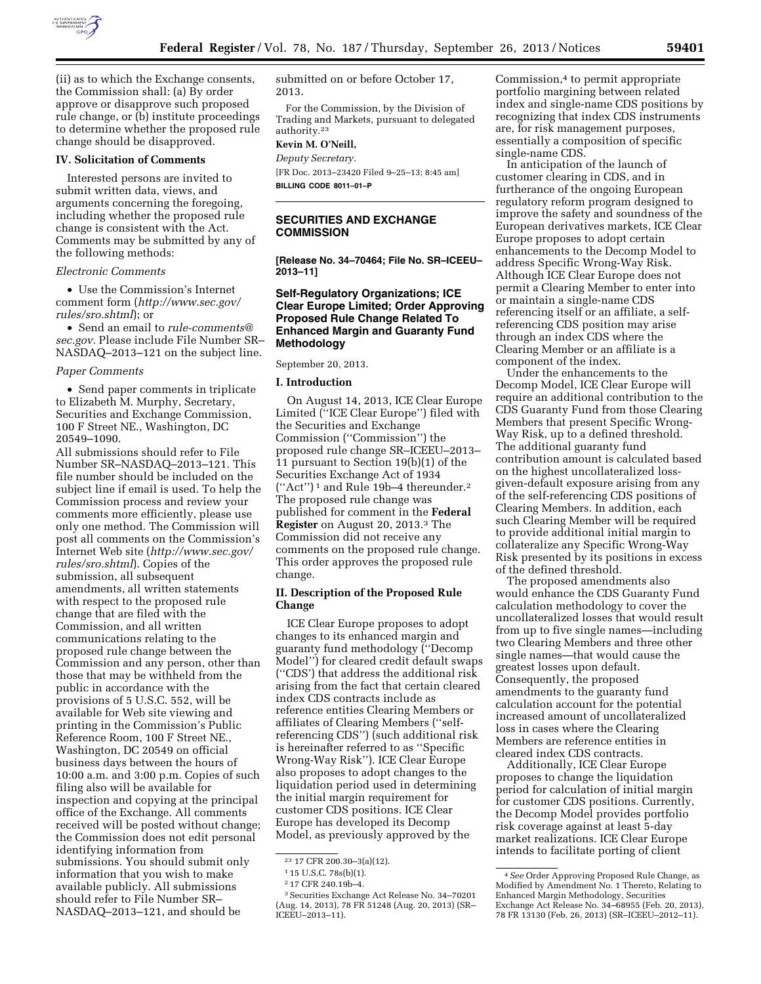

(ii) as to which the Exchange consents, the Commission shall: (a) By order approve or disapprove such proposed rule change, or (b) institute proceedings to determine whether the proposed rule change should be disapproved.

#### **IV. Solicitation of Comments**

Interested persons are invited to submit written data, views, and arguments concerning the foregoing, including whether the proposed rule change is consistent with the Act. Comments may be submitted by any of the following methods:

#### *Electronic Comments*

• Use the Commission's Internet comment form (*[http://www.sec.gov/](http://www.sec.gov/rules/sro.shtml) [rules/sro.shtml](http://www.sec.gov/rules/sro.shtml)*); or

• Send an email to *[rule-comments@](mailto:rule-comments@sec.gov) [sec.gov.](mailto:rule-comments@sec.gov)* Please include File Number SR– NASDAQ–2013–121 on the subject line.

#### *Paper Comments*

• Send paper comments in triplicate to Elizabeth M. Murphy, Secretary, Securities and Exchange Commission, 100 F Street NE., Washington, DC 20549–1090.

All submissions should refer to File Number SR–NASDAQ–2013–121. This file number should be included on the subject line if email is used. To help the Commission process and review your comments more efficiently, please use only one method. The Commission will post all comments on the Commission's Internet Web site (*[http://www.sec.gov/](http://www.sec.gov/rules/sro.shtml) [rules/sro.shtml](http://www.sec.gov/rules/sro.shtml)*). Copies of the submission, all subsequent amendments, all written statements with respect to the proposed rule change that are filed with the Commission, and all written communications relating to the proposed rule change between the Commission and any person, other than those that may be withheld from the public in accordance with the provisions of 5 U.S.C. 552, will be available for Web site viewing and printing in the Commission's Public Reference Room, 100 F Street NE., Washington, DC 20549 on official business days between the hours of 10:00 a.m. and 3:00 p.m. Copies of such filing also will be available for inspection and copying at the principal office of the Exchange. All comments received will be posted without change; the Commission does not edit personal identifying information from submissions. You should submit only information that you wish to make available publicly. All submissions should refer to File Number SR– NASDAQ–2013–121, and should be

submitted on or before October 17, 2013.

For the Commission, by the Division of Trading and Markets, pursuant to delegated authority.23

## **Kevin M. O'Neill,**  *Deputy Secretary.*

[FR Doc. 2013–23420 Filed 9–25–13; 8:45 am] **BILLING CODE 8011–01–P** 

# **SECURITIES AND EXCHANGE COMMISSION**

**[Release No. 34–70464; File No. SR–ICEEU– 2013–11]** 

## **Self-Regulatory Organizations; ICE Clear Europe Limited; Order Approving Proposed Rule Change Related To Enhanced Margin and Guaranty Fund Methodology**

September 20, 2013.

#### **I. Introduction**

On August 14, 2013, ICE Clear Europe Limited (''ICE Clear Europe'') filed with the Securities and Exchange Commission (''Commission'') the proposed rule change SR–ICEEU–2013– 11 pursuant to Section 19(b)(1) of the Securities Exchange Act of 1934 (''Act'') 1 and Rule 19b–4 thereunder.2 The proposed rule change was published for comment in the **Federal Register** on August 20, 2013.3 The Commission did not receive any comments on the proposed rule change. This order approves the proposed rule change.

## **II. Description of the Proposed Rule Change**

ICE Clear Europe proposes to adopt changes to its enhanced margin and guaranty fund methodology (''Decomp Model'') for cleared credit default swaps (''CDS') that address the additional risk arising from the fact that certain cleared index CDS contracts include as reference entities Clearing Members or affiliates of Clearing Members (''selfreferencing CDS'') (such additional risk is hereinafter referred to as ''Specific Wrong-Way Risk''). ICE Clear Europe also proposes to adopt changes to the liquidation period used in determining the initial margin requirement for customer CDS positions. ICE Clear Europe has developed its Decomp Model, as previously approved by the

Commission,<sup>4</sup> to permit appropriate portfolio margining between related index and single-name CDS positions by recognizing that index CDS instruments are, for risk management purposes, essentially a composition of specific single-name CDS.

In anticipation of the launch of customer clearing in CDS, and in furtherance of the ongoing European regulatory reform program designed to improve the safety and soundness of the European derivatives markets, ICE Clear Europe proposes to adopt certain enhancements to the Decomp Model to address Specific Wrong-Way Risk. Although ICE Clear Europe does not permit a Clearing Member to enter into or maintain a single-name CDS referencing itself or an affiliate, a selfreferencing CDS position may arise through an index CDS where the Clearing Member or an affiliate is a component of the index.

Under the enhancements to the Decomp Model, ICE Clear Europe will require an additional contribution to the CDS Guaranty Fund from those Clearing Members that present Specific Wrong-Way Risk, up to a defined threshold. The additional guaranty fund contribution amount is calculated based on the highest uncollateralized lossgiven-default exposure arising from any of the self-referencing CDS positions of Clearing Members. In addition, each such Clearing Member will be required to provide additional initial margin to collateralize any Specific Wrong-Way Risk presented by its positions in excess of the defined threshold.

The proposed amendments also would enhance the CDS Guaranty Fund calculation methodology to cover the uncollateralized losses that would result from up to five single names—including two Clearing Members and three other single names—that would cause the greatest losses upon default. Consequently, the proposed amendments to the guaranty fund calculation account for the potential increased amount of uncollateralized loss in cases where the Clearing Members are reference entities in cleared index CDS contracts.

Additionally, ICE Clear Europe proposes to change the liquidation period for calculation of initial margin for customer CDS positions. Currently, the Decomp Model provides portfolio risk coverage against at least 5-day market realizations. ICE Clear Europe intends to facilitate porting of client

<sup>23</sup> 17 CFR 200.30–3(a)(12).

<sup>1</sup> 15 U.S.C. 78s(b)(1).

<sup>2</sup> 17 CFR 240.19b–4.

<sup>3</sup>Securities Exchange Act Release No. 34–70201 (Aug. 14, 2013), 78 FR 51248 (Aug. 20, 2013) (SR– ICEEU–2013–11).

<sup>4</sup>*See* Order Approving Proposed Rule Change, as Modified by Amendment No. 1 Thereto, Relating to Enhanced Margin Methodology, Securities Exchange Act Release No. 34–68955 (Feb. 20, 2013), 78 FR 13130 (Feb. 26, 2013) (SR–ICEEU–2012–11).